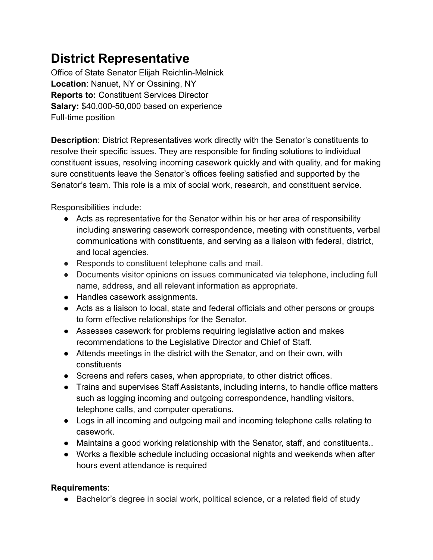## **District Representative**

Office of State Senator Elijah Reichlin-Melnick **Location**: Nanuet, NY or Ossining, NY **Reports to:** Constituent Services Director **Salary:** \$40,000-50,000 based on experience Full-time position

**Description**: District Representatives work directly with the Senator's constituents to resolve their specific issues. They are responsible for finding solutions to individual constituent issues, resolving incoming casework quickly and with quality, and for making sure constituents leave the Senator's offices feeling satisfied and supported by the Senator's team. This role is a mix of social work, research, and constituent service.

Responsibilities include:

- Acts as representative for the Senator within his or her area of responsibility including answering casework correspondence, meeting with constituents, verbal communications with constituents, and serving as a liaison with federal, district, and local agencies.
- Responds to constituent telephone calls and mail.
- Documents visitor opinions on issues communicated via telephone, including full name, address, and all relevant information as appropriate.
- Handles casework assignments.
- Acts as a liaison to local, state and federal officials and other persons or groups to form effective relationships for the Senator.
- Assesses casework for problems requiring legislative action and makes recommendations to the Legislative Director and Chief of Staff.
- Attends meetings in the district with the Senator, and on their own, with constituents
- Screens and refers cases, when appropriate, to other district offices.
- Trains and supervises Staff Assistants, including interns, to handle office matters such as logging incoming and outgoing correspondence, handling visitors, telephone calls, and computer operations.
- Logs in all incoming and outgoing mail and incoming telephone calls relating to casework.
- Maintains a good working relationship with the Senator, staff, and constituents..
- Works a flexible schedule including occasional nights and weekends when after hours event attendance is required

## **Requirements**:

● Bachelor's degree in social work, political science, or a related field of study